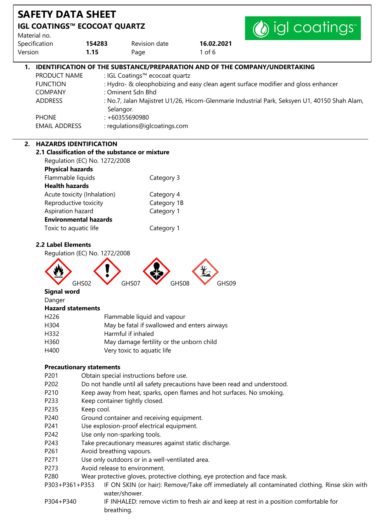|                               |                                                       |                                                       |                                                                                                                                                                            | (b) igl coatings |
|-------------------------------|-------------------------------------------------------|-------------------------------------------------------|----------------------------------------------------------------------------------------------------------------------------------------------------------------------------|------------------|
| Material no.<br>Specification | 154283                                                | Revision date                                         | 16.02.2021                                                                                                                                                                 |                  |
| Version                       | 1.15                                                  | Page                                                  | $1$ of $6$                                                                                                                                                                 |                  |
|                               |                                                       |                                                       | 1. IDENTIFICATION OF THE SUBSTANCE/PREPARATION AND OF THE COMPANY/UNDERTAKING                                                                                              |                  |
| PRODUCT NAME                  |                                                       | : IGL Coatings™ ecocoat quartz                        |                                                                                                                                                                            |                  |
| <b>FUNCTION</b>               |                                                       |                                                       | : Hydro- & oleophobizing and easy clean agent surface modifier and gloss enhancer                                                                                          |                  |
| <b>COMPANY</b>                |                                                       | : Ominent Sdn Bhd                                     |                                                                                                                                                                            |                  |
| <b>ADDRESS</b>                |                                                       | Selangor.                                             | : No.7, Jalan Majistret U1/26, Hicom-Glenmarie Industrial Park, Seksyen U1, 40150 Shah Alam,                                                                               |                  |
| <b>PHONE</b>                  |                                                       | $: +60355690980$                                      |                                                                                                                                                                            |                  |
| <b>EMAIL ADDRESS</b>          |                                                       | : regulations@iglcoatings.com                         |                                                                                                                                                                            |                  |
|                               | 2. HAZARDS IDENTIFICATION                             |                                                       |                                                                                                                                                                            |                  |
|                               |                                                       | 2.1 Classification of the substance or mixture        |                                                                                                                                                                            |                  |
|                               | Regulation (EC) No. 1272/2008                         |                                                       |                                                                                                                                                                            |                  |
|                               | <b>Physical hazards</b>                               |                                                       |                                                                                                                                                                            |                  |
|                               | Flammable liquids                                     | Category 3                                            |                                                                                                                                                                            |                  |
| <b>Health hazards</b>         |                                                       |                                                       |                                                                                                                                                                            |                  |
|                               | Acute toxicity (Inhalation)                           | Category 4                                            |                                                                                                                                                                            |                  |
|                               | Reproductive toxicity                                 | Category 1B                                           |                                                                                                                                                                            |                  |
|                               | Aspiration hazard                                     | Category 1                                            |                                                                                                                                                                            |                  |
|                               | <b>Environmental hazards</b><br>Toxic to aquatic life | Category 1                                            |                                                                                                                                                                            |                  |
|                               |                                                       |                                                       |                                                                                                                                                                            |                  |
|                               | GHS02                                                 | GHS07<br>GHS08                                        | GHS09                                                                                                                                                                      |                  |
| <b>Signal word</b>            |                                                       |                                                       |                                                                                                                                                                            |                  |
| Danger                        | <b>Hazard statements</b>                              |                                                       |                                                                                                                                                                            |                  |
| H226                          |                                                       | Flammable liquid and vapour                           |                                                                                                                                                                            |                  |
| H304                          |                                                       | May be fatal if swallowed and enters airways          |                                                                                                                                                                            |                  |
| H332                          |                                                       | Harmful if inhaled                                    |                                                                                                                                                                            |                  |
| H360                          |                                                       | May damage fertility or the unborn child              |                                                                                                                                                                            |                  |
| H400                          |                                                       | Very toxic to aquatic life                            |                                                                                                                                                                            |                  |
|                               |                                                       |                                                       |                                                                                                                                                                            |                  |
|                               | <b>Precautionary statements</b>                       |                                                       |                                                                                                                                                                            |                  |
| P201<br>P202                  |                                                       | Obtain special instructions before use.               | Do not handle until all safety precautions have been read and understood.                                                                                                  |                  |
| P210                          |                                                       |                                                       | Keep away from heat, sparks, open flames and hot surfaces. No smoking.                                                                                                     |                  |
| P233                          |                                                       | Keep container tightly closed.                        |                                                                                                                                                                            |                  |
| P235                          | Keep cool.                                            |                                                       |                                                                                                                                                                            |                  |
| P240                          |                                                       | Ground container and receiving equipment.             |                                                                                                                                                                            |                  |
| P241                          |                                                       | Use explosion-proof electrical equipment.             |                                                                                                                                                                            |                  |
| P242                          |                                                       | Use only non-sparking tools.                          |                                                                                                                                                                            |                  |
| P243                          |                                                       | Take precautionary measures against static discharge. |                                                                                                                                                                            |                  |
| P261                          | Avoid breathing vapours.                              |                                                       |                                                                                                                                                                            |                  |
| P271                          |                                                       | Use only outdoors or in a well-ventilated area.       |                                                                                                                                                                            |                  |
| P273                          |                                                       | Avoid release to environment.                         |                                                                                                                                                                            |                  |
|                               |                                                       |                                                       |                                                                                                                                                                            |                  |
|                               |                                                       |                                                       |                                                                                                                                                                            |                  |
| P280                          | P303+P361+P353                                        |                                                       | Wear protective gloves, protective clothing, eye protection and face mask.<br>IF ON SKIN (or hair): Remove/Take off immediately all contaminated clothing. Rinse skin with |                  |

P304+P340 IF INHALED: remove victim to fresh air and keep at rest in a position comfortable for breathing.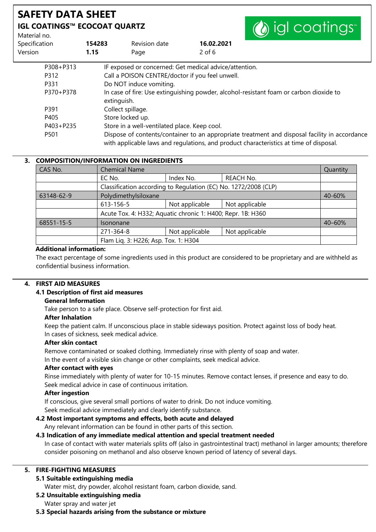# **SAFETY DATA SHEET IGL COATINGS™ ECOCOAT QUARTZ**

| Material no.  |        |                                                 | $\sim$                                                                                                                                                                                  |
|---------------|--------|-------------------------------------------------|-----------------------------------------------------------------------------------------------------------------------------------------------------------------------------------------|
| Specification | 154283 | Revision date                                   | 16.02.2021                                                                                                                                                                              |
| Version       | 1.15   | Page                                            | $2$ of 6                                                                                                                                                                                |
| P308+P313     |        |                                                 | IF exposed or concerned: Get medical advice/attention.                                                                                                                                  |
| P312          |        | Call a POISON CENTRE/doctor if you feel unwell. |                                                                                                                                                                                         |
| P331          |        | Do NOT induce vomiting.                         |                                                                                                                                                                                         |
| P370+P378     |        | extinguish.                                     | In case of fire: Use extinguishing powder, alcohol-resistant foam or carbon dioxide to                                                                                                  |
| P391          |        | Collect spillage.                               |                                                                                                                                                                                         |
| P405          |        | Store locked up.                                |                                                                                                                                                                                         |
| P403+P235     |        | Store in a well-ventilated place. Keep cool.    |                                                                                                                                                                                         |
| P501          |        |                                                 | Dispose of contents/container to an appropriate treatment and disposal facility in accordance<br>with applicable laws and regulations, and product characteristics at time of disposal. |

**A** ial coatings

### **3. COMPOSITION/INFORMATION ON INGREDIENTS**

| CAS No.    | <b>Chemical Name</b>                                            |                |                  | Quantity   |
|------------|-----------------------------------------------------------------|----------------|------------------|------------|
|            | EC No.                                                          | Index No.      | <b>REACH No.</b> |            |
|            | Classification according to Regulation (EC) No. 1272/2008 (CLP) |                |                  |            |
| 63148-62-9 | Polydimethylsiloxane                                            |                |                  | $40 - 60%$ |
|            | 613-156-5                                                       | Not applicable | Not applicable   |            |
|            | Acute Tox. 4: H332; Aquatic chronic 1: H400; Repr. 1B: H360     |                |                  |            |
| 68551-15-5 | <b>Isononane</b>                                                |                |                  | 40-60%     |
|            | 271-364-8                                                       | Not applicable | Not applicable   |            |
|            | Flam Liq. 3: H226; Asp. Tox. 1: H304                            |                |                  |            |

### **Additional information:**

The exact percentage of some ingredients used in this product are considered to be proprietary and are withheld as confidential business information.

### **4. FIRST AID MEASURES**

### **4.1 Description of first aid measures**

### **General Information**

Take person to a safe place. Observe self-protection for first aid.

### **After Inhalation**

Keep the patient calm. If unconscious place in stable sideways position. Protect against loss of body heat. In cases of sickness, seek medical advice.

### **After skin contact**

Remove contaminated or soaked clothing. Immediately rinse with plenty of soap and water.

In the event of a visible skin change or other complaints, seek medical advice.

#### **After contact with eyes**

Rinse immediately with plenty of water for 10-15 minutes. Remove contact lenses, if presence and easy to do. Seek medical advice in case of continuous irritation.

### **After ingestion**

If conscious, give several small portions of water to drink. Do not induce vomiting.

Seek medical advice immediately and clearly identify substance.

### **4.2 Most important symptoms and effects, both acute and delayed**

Any relevant information can be found in other parts of this section.

### **4.3 Indication of any immediate medical attention and special treatment needed**

In case of contact with water materials splits off (also in gastrointestinal tract) methanol in larger amounts; therefore consider poisoning on methanol and also observe known period of latency of several days.

### **5. FIRE-FIGHTING MEASURES**

### **5.1 Suitable extinguishing media**

Water mist, dry powder, alcohol resistant foam, carbon dioxide, sand.

### **5.2 Unsuitable extinguishing media**

Water spray and water jet

### **5.3 Special hazards arising from the substance or mixture**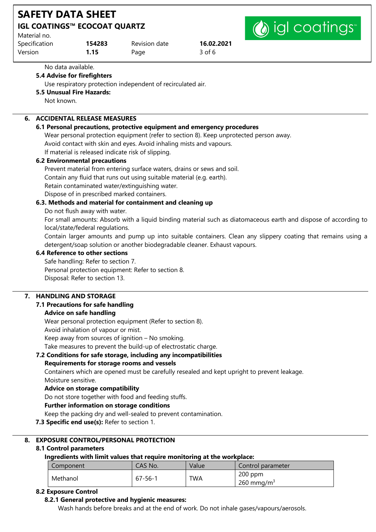| <b>SAFETY DATA SHEET</b>                            |        |                  |            |  |
|-----------------------------------------------------|--------|------------------|------------|--|
| <b>IGL COATINGS™ ECOCOAT QUARTZ</b><br>Material no. |        | (a) igl coatings |            |  |
| Specification                                       | 154283 | Revision date    | 16.02.2021 |  |
| Version                                             | 1.15   | Page             | $3$ of 6   |  |

No data available.

### **5.4 Advise for firefighters**

Use respiratory protection independent of recirculated air.

### **5.5 Unusual Fire Hazards:**

Not known.

# **6. ACCIDENTAL RELEASE MEASURES**

#### **6.1 Personal precautions, protective equipment and emergency procedures**

Wear personal protection equipment (refer to section 8). Keep unprotected person away. Avoid contact with skin and eyes. Avoid inhaling mists and vapours. If material is released indicate risk of slipping.

### **6.2 Environmental precautions**

Prevent material from entering surface waters, drains or sews and soil. Contain any fluid that runs out using suitable material (e.g. earth). Retain contaminated water/extinguishing water. Dispose of in prescribed marked containers.

### **6.3. Methods and material for containment and cleaning up**

Do not flush away with water.

For small amounts: Absorb with a liquid binding material such as diatomaceous earth and dispose of according to local/state/federal regulations.

Contain larger amounts and pump up into suitable containers. Clean any slippery coating that remains using a detergent/soap solution or another biodegradable cleaner. Exhaust vapours.

### **6.4 Reference to other sections**

Safe handling: Refer to section 7. Personal protection equipment: Refer to section 8. Disposal: Refer to section 13.

### **7. HANDLING AND STORAGE**

### **7.1 Precautions for safe handling**

### **Advice on safe handling**

Wear personal protection equipment (Refer to section 8).

Avoid inhalation of vapour or mist.

Keep away from sources of ignition – No smoking.

Take measures to prevent the build-up of electrostatic charge.

### **7.2 Conditions for safe storage, including any incompatibilities**

### **Requirements for storage rooms and vessels**

Containers which are opened must be carefully resealed and kept upright to prevent leakage. Moisture sensitive.

### **Advice on storage compatibility**

Do not store together with food and feeding stuffs.

### **Further information on storage conditions**

Keep the packing dry and well-sealed to prevent contamination.

### **7.3 Specific end use(s):** Refer to section 1.

### **8. EXPOSURE CONTROL/PERSONAL PROTECTION**

### **8.1 Control parameters**

### **Ingredients with limit values that require monitoring at the workplace:**

| Component | CAS No.       | Value | Control parameter      |
|-----------|---------------|-------|------------------------|
| Methanol  | $67 - 56 - 1$ |       | $200$ ppm              |
|           |               | TWA   | 260 mmg/m <sup>3</sup> |

### **8.2 Exposure Control**

### **8.2.1 General protective and hygienic measures:**

Wash hands before breaks and at the end of work. Do not inhale gases/vapours/aerosols.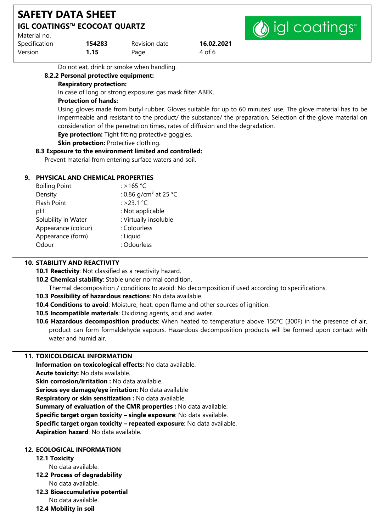| <b>SAFETY DATA SHEET</b>                            |                |                       |                      |  |  |  |
|-----------------------------------------------------|----------------|-----------------------|----------------------|--|--|--|
| <b>IGL COATINGS™ ECOCOAT QUARTZ</b><br>Material no. |                | (b) igl coatings      |                      |  |  |  |
| Specification<br><b>Version</b>                     | 154283<br>1.15 | Revision date<br>Page | 16.02.2021<br>4 of 6 |  |  |  |

Do not eat, drink or smoke when handling.

#### **8.2.2 Personal protective equipment: Respiratory protection:**

In case of long or strong exposure: gas mask filter ABEK.

### **Protection of hands:**

Using gloves made from butyl rubber. Gloves suitable for up to 60 minutes' use. The glove material has to be impermeable and resistant to the product/ the substance/ the preparation. Selection of the glove material on consideration of the penetration times, rates of diffusion and the degradation.

**Eye protection:** Tight fitting protective goggles.

**Skin protection: Protective clothing.** 

### **8.3 Exposure to the environment limited and controlled:**

Prevent material from entering surface waters and soil.

### **9. PHYSICAL AND CHEMICAL PROPERTIES**

| <b>Boiling Point</b> | : >165 °C                         |
|----------------------|-----------------------------------|
| Density              | : 0.86 g/cm <sup>3</sup> at 25 °C |
| Flash Point          | : >23.1 °C                        |
| рH                   | : Not applicable                  |
| Solubility in Water  | : Virtually insoluble             |
| Appearance (colour)  | : Colourless                      |
| Appearance (form)    | : Liquid                          |
| Odour                | : Odourless                       |
|                      |                                   |

### **10. STABILITY AND REACTIVITY**

**10.1 Reactivity**: Not classified as a reactivity hazard.

**10.2 Chemical stability**: Stable under normal condition.

Thermal decomposition / conditions to avoid: No decomposition if used according to specifications.

- **10.3 Possibility of hazardous reactions**: No data available.
- **10.4 Conditions to avoid**: Moisture, heat, open flame and other sources of ignition.
- **10.5 Incompatible materials**: Oxidizing agents, acid and water.
- **10.6 Hazardous decomposition products**: When heated to temperature above 150°C (300F) in the presence of air, product can form formaldehyde vapours. Hazardous decomposition products will be formed upon contact with water and humid air.

### **11. TOXICOLOGICAL INFORMATION**

**Information on toxicological effects:** No data available. **Acute toxicity:** No data available. **Skin corrosion/irritation :** No data available. **Serious eye damage/eye irritation:** No data available **Respiratory or skin sensitization :** No data available. **Summary of evaluation of the CMR properties :** No data available. **Specific target organ toxicity – single exposure**: No data available. **Specific target organ toxicity – repeated exposure**: No data available. **Aspiration hazard**: No data available.

# **12. ECOLOGICAL INFORMATION**

# **12.1 Toxicity**

No data available.

**12.2 Process of degradability**

No data available.

- **12.3 Bioaccumulative potential** No data available.
- **12.4 Mobility in soil**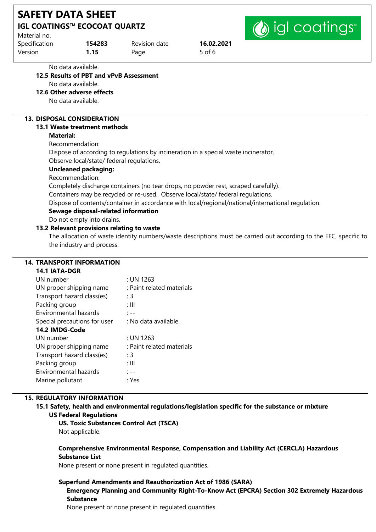| <b>SAFETY DATA SHEET</b>            |        |               |            |           |
|-------------------------------------|--------|---------------|------------|-----------|
| <b>IGL COATINGS™ ECOCOAT QUARTZ</b> |        |               |            | (a) igl c |
| Material no.                        |        |               |            |           |
| Snecification                       | 154283 | Revision date | 16 02 2021 |           |

| 154283 | Revision date | 16.02.2021 |
|--------|---------------|------------|
| 1.15   | Page          | 5 of 6     |
|        |               |            |

No data available.

# **12.5 Results of PBT and vPvB Assessment**

No data available.

**12.6 Other adverse effects**

No data available.

# **13. DISPOSAL CONSIDERATION**

### **13.1 Waste treatment methods**

### **Material:**

Recommendation:

Dispose of according to regulations by incineration in a special waste incinerator. Observe local/state/ federal regulations.

# **Uncleaned packaging:**

Recommendation:

Completely discharge containers (no tear drops, no powder rest, scraped carefully).

Containers may be recycled or re-used. Observe local/state/ federal regulations.

Dispose of contents/container in accordance with local/regional/national/international regulation.

# **Sewage disposal-related information**

Do not empty into drains.

### **13.2 Relevant provisions relating to waste**

The allocation of waste identity numbers/waste descriptions must be carried out according to the EEC, specific to the industry and process.

tings<sup>®</sup>

### **14. TRANSPORT INFORMATION**

#### **14.1 IATA-DGR**

| UN number                    | : UN 1263                 |
|------------------------------|---------------------------|
| UN proper shipping name      | : Paint related materials |
| Transport hazard class(es)   | : 3                       |
| Packing group                | : III                     |
| <b>Environmental hazards</b> | : --                      |
| Special precautions for user | : No data available.      |
| 14.2 IMDG-Code               |                           |
| UN number                    | : UN 1263                 |
| UN proper shipping name      | : Paint related materials |
| Transport hazard class(es)   | : 3                       |
| Packing group                | : III                     |
| Environmental hazards        | . ––                      |
| Marine pollutant             | : Yes                     |
|                              |                           |

### **15. REGULATORY INFORMATION**

**15.1 Safety, health and environmental regulations/legislation specific for the substance or mixture US Federal Regulations**

# **US. Toxic Substances Control Act (TSCA)**

Not applicable.

### **Comprehensive Environmental Response, Compensation and Liability Act (CERCLA) Hazardous Substance List**

None present or none present in regulated quantities.

### **Superfund Amendments and Reauthorization Act of 1986 (SARA)**

**Emergency Planning and Community Right-To-Know Act (EPCRA) Section 302 Extremely Hazardous Substance**

None present or none present in regulated quantities.